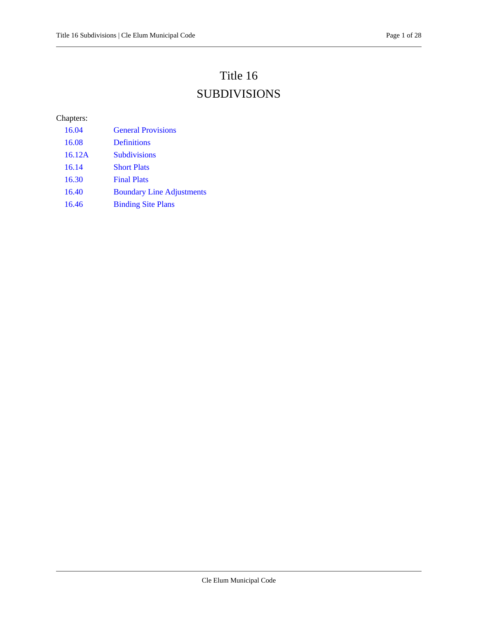# Title 16

# SUBDIVISIONS

## Chapters:

| 16.04  | <b>General Provisions</b>        |
|--------|----------------------------------|
| 16.08  | <b>Definitions</b>               |
| 16.12A | <b>Subdivisions</b>              |
| 16.14  | <b>Short Plats</b>               |
| 16.30  | <b>Final Plats</b>               |
| 16.40  | <b>Boundary Line Adjustments</b> |
| 16.46  | <b>Binding Site Plans</b>        |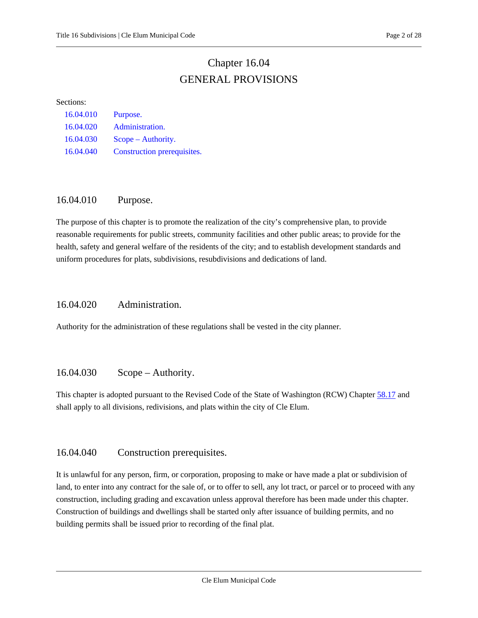## Chapter 16.04 GENERAL PROVISIONS

#### <span id="page-1-0"></span>Sections:

| 16.04.010 | Purpose.                    |
|-----------|-----------------------------|
| 16.04.020 | Administration.             |
| 16.04.030 | $Scope - Authority.$        |
| 16.04.040 | Construction prerequisites. |

## <span id="page-1-1"></span>16.04.010 Purpose.

The purpose of this chapter is to promote the realization of the city's comprehensive plan, to provide reasonable requirements for public streets, community facilities and other public areas; to provide for the health, safety and general welfare of the residents of the city; and to establish development standards and uniform procedures for plats, subdivisions, resubdivisions and dedications of land.

## <span id="page-1-2"></span>16.04.020 Administration.

<span id="page-1-3"></span>Authority for the administration of these regulations shall be vested in the city planner.

## 16.04.030 Scope – Authority.

This chapter is adopted pursuant to the Revised Code of the State of Washington (RCW) Chapter [58.17](https://cleelum.municipal.codes/WA/RCW/58.17) and shall apply to all divisions, redivisions, and plats within the city of Cle Elum.

## <span id="page-1-4"></span>16.04.040 Construction prerequisites.

It is unlawful for any person, firm, or corporation, proposing to make or have made a plat or subdivision of land, to enter into any contract for the sale of, or to offer to sell, any lot tract, or parcel or to proceed with any construction, including grading and excavation unless approval therefore has been made under this chapter. Construction of buildings and dwellings shall be started only after issuance of building permits, and no building permits shall be issued prior to recording of the final plat.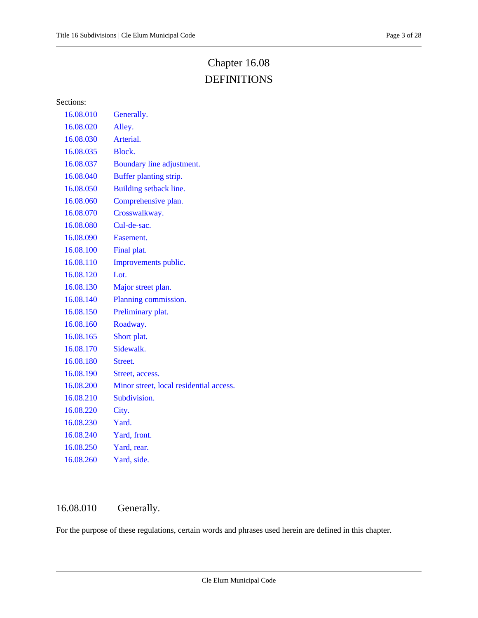# Chapter 16.08 DEFINITIONS

<span id="page-2-0"></span>Sections:

| 16.08.010 | Generally.                              |
|-----------|-----------------------------------------|
| 16.08.020 | Alley.                                  |
| 16.08.030 | Arterial.                               |
| 16.08.035 | Block.                                  |
| 16.08.037 | Boundary line adjustment.               |
| 16.08.040 | Buffer planting strip.                  |
| 16.08.050 | Building setback line.                  |
| 16.08.060 | Comprehensive plan.                     |
| 16.08.070 | Crosswalkway.                           |
| 16.08.080 | Cul-de-sac.                             |
| 16.08.090 | Easement.                               |
| 16.08.100 | Final plat.                             |
| 16.08.110 | Improvements public.                    |
| 16.08.120 | $1$ .                                   |
| 16.08.130 | Major street plan.                      |
| 16.08.140 | Planning commission.                    |
| 16.08.150 | Preliminary plat.                       |
| 16.08.160 | Roadway.                                |
| 16.08.165 | Short plat.                             |
| 16.08.170 | Sidewalk.                               |
| 16.08.180 | Street.                                 |
| 16.08.190 | Street, access.                         |
| 16.08.200 | Minor street, local residential access. |
| 16.08.210 | Subdivision.                            |
| 16.08.220 | City.                                   |
| 16.08.230 | Yard.                                   |
| 16.08.240 | Yard, front.                            |
| 16.08.250 | Yard, rear.                             |
| 16.08.260 | Yard, side.                             |

## <span id="page-2-1"></span>16.08.010 Generally.

For the purpose of these regulations, certain words and phrases used herein are defined in this chapter.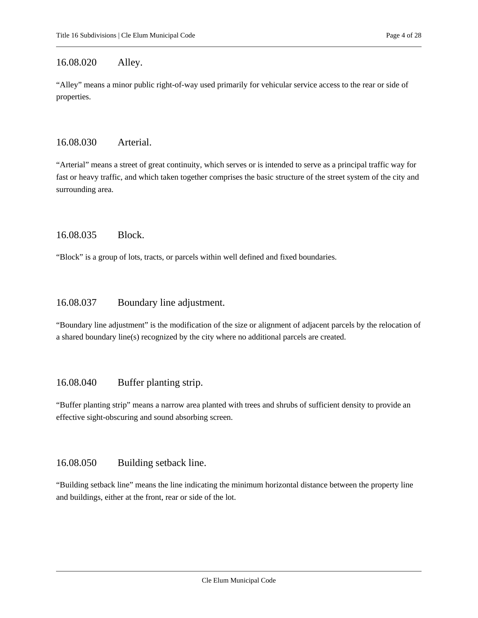## <span id="page-3-0"></span>16.08.020 Alley.

"Alley" means a minor public right-of-way used primarily for vehicular service access to the rear or side of properties.

#### <span id="page-3-1"></span>16.08.030 Arterial.

"Arterial" means a street of great continuity, which serves or is intended to serve as a principal traffic way for fast or heavy traffic, and which taken together comprises the basic structure of the street system of the city and surrounding area.

## <span id="page-3-2"></span>16.08.035 Block.

<span id="page-3-3"></span>"Block" is a group of lots, tracts, or parcels within well defined and fixed boundaries.

## 16.08.037 Boundary line adjustment.

"Boundary line adjustment" is the modification of the size or alignment of adjacent parcels by the relocation of a shared boundary line(s) recognized by the city where no additional parcels are created.

## <span id="page-3-4"></span>16.08.040 Buffer planting strip.

"Buffer planting strip" means a narrow area planted with trees and shrubs of sufficient density to provide an effective sight-obscuring and sound absorbing screen.

## <span id="page-3-5"></span>16.08.050 Building setback line.

"Building setback line" means the line indicating the minimum horizontal distance between the property line and buildings, either at the front, rear or side of the lot.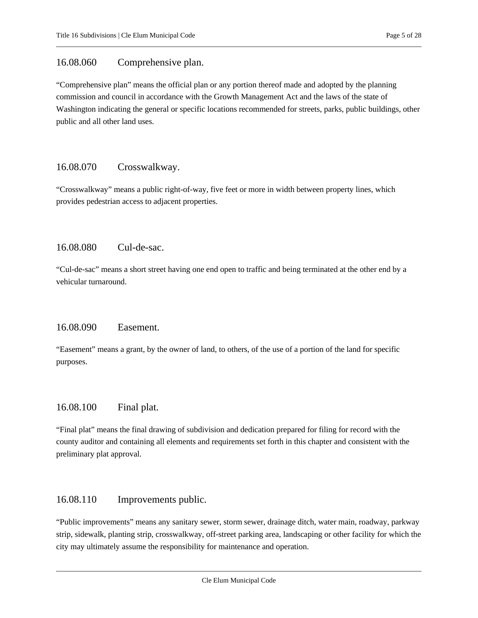## <span id="page-4-0"></span>16.08.060 Comprehensive plan.

"Comprehensive plan" means the official plan or any portion thereof made and adopted by the planning commission and council in accordance with the Growth Management Act and the laws of the state of Washington indicating the general or specific locations recommended for streets, parks, public buildings, other public and all other land uses.

## <span id="page-4-1"></span>16.08.070 Crosswalkway.

"Crosswalkway" means a public right-of-way, five feet or more in width between property lines, which provides pedestrian access to adjacent properties.

## <span id="page-4-2"></span>16.08.080 Cul-de-sac.

"Cul-de-sac" means a short street having one end open to traffic and being terminated at the other end by a vehicular turnaround.

## <span id="page-4-3"></span>16.08.090 Easement.

"Easement" means a grant, by the owner of land, to others, of the use of a portion of the land for specific purposes.

## <span id="page-4-4"></span>16.08.100 Final plat.

"Final plat" means the final drawing of subdivision and dedication prepared for filing for record with the county auditor and containing all elements and requirements set forth in this chapter and consistent with the preliminary plat approval.

## <span id="page-4-5"></span>16.08.110 Improvements public.

"Public improvements" means any sanitary sewer, storm sewer, drainage ditch, water main, roadway, parkway strip, sidewalk, planting strip, crosswalkway, off-street parking area, landscaping or other facility for which the city may ultimately assume the responsibility for maintenance and operation.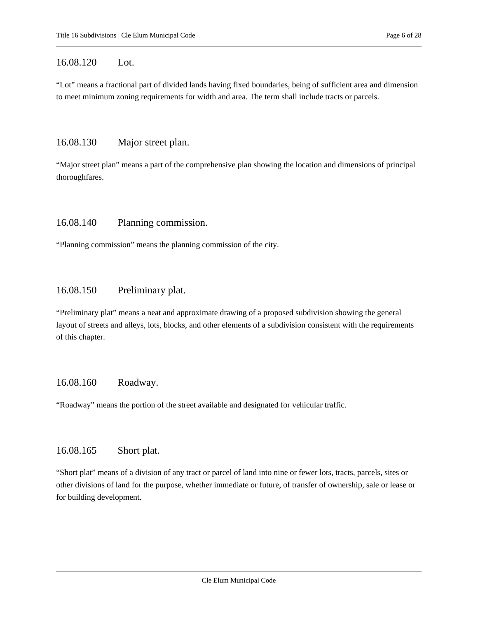## <span id="page-5-0"></span>16.08.120 Lot.

"Lot" means a fractional part of divided lands having fixed boundaries, being of sufficient area and dimension to meet minimum zoning requirements for width and area. The term shall include tracts or parcels.

#### <span id="page-5-1"></span>16.08.130 Major street plan.

"Major street plan" means a part of the comprehensive plan showing the location and dimensions of principal thoroughfares.

#### <span id="page-5-2"></span>16.08.140 Planning commission.

<span id="page-5-3"></span>"Planning commission" means the planning commission of the city.

#### 16.08.150 Preliminary plat.

"Preliminary plat" means a neat and approximate drawing of a proposed subdivision showing the general layout of streets and alleys, lots, blocks, and other elements of a subdivision consistent with the requirements of this chapter.

## <span id="page-5-4"></span>16.08.160 Roadway.

<span id="page-5-5"></span>"Roadway" means the portion of the street available and designated for vehicular traffic.

## 16.08.165 Short plat.

"Short plat" means of a division of any tract or parcel of land into nine or fewer lots, tracts, parcels, sites or other divisions of land for the purpose, whether immediate or future, of transfer of ownership, sale or lease or for building development.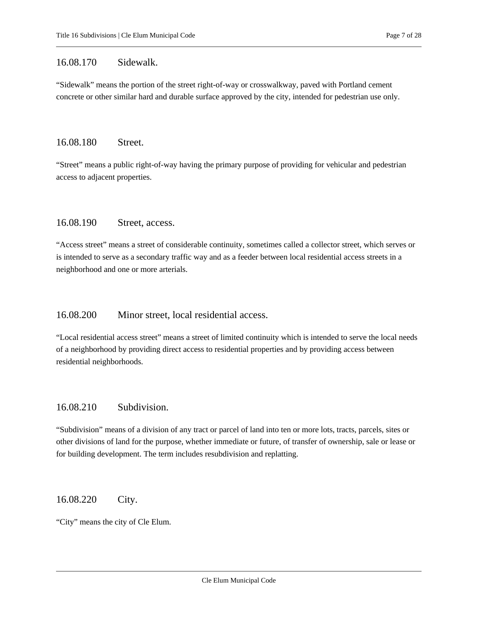#### <span id="page-6-0"></span>16.08.170 Sidewalk.

"Sidewalk" means the portion of the street right-of-way or crosswalkway, paved with Portland cement concrete or other similar hard and durable surface approved by the city, intended for pedestrian use only.

#### <span id="page-6-1"></span>16.08.180 Street.

"Street" means a public right-of-way having the primary purpose of providing for vehicular and pedestrian access to adjacent properties.

## <span id="page-6-2"></span>16.08.190 Street, access.

"Access street" means a street of considerable continuity, sometimes called a collector street, which serves or is intended to serve as a secondary traffic way and as a feeder between local residential access streets in a neighborhood and one or more arterials.

## <span id="page-6-3"></span>16.08.200 Minor street, local residential access.

"Local residential access street" means a street of limited continuity which is intended to serve the local needs of a neighborhood by providing direct access to residential properties and by providing access between residential neighborhoods.

## <span id="page-6-4"></span>16.08.210 Subdivision.

"Subdivision" means of a division of any tract or parcel of land into ten or more lots, tracts, parcels, sites or other divisions of land for the purpose, whether immediate or future, of transfer of ownership, sale or lease or for building development. The term includes resubdivision and replatting.

## <span id="page-6-5"></span>16.08.220 City.

"City" means the city of Cle Elum.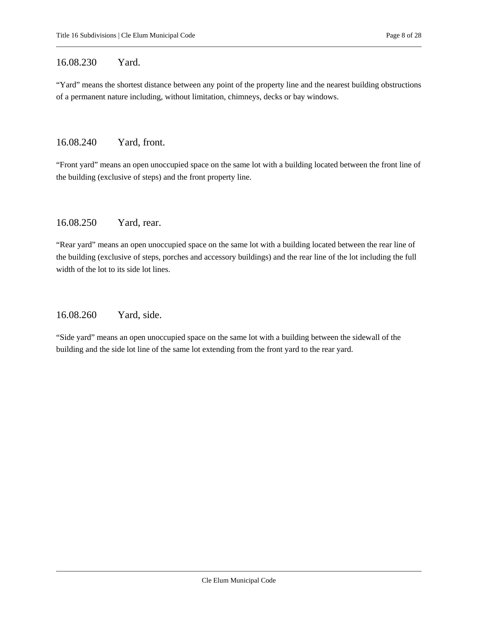## <span id="page-7-0"></span>16.08.230 Yard.

"Yard" means the shortest distance between any point of the property line and the nearest building obstructions of a permanent nature including, without limitation, chimneys, decks or bay windows.

#### <span id="page-7-1"></span>16.08.240 Yard, front.

"Front yard" means an open unoccupied space on the same lot with a building located between the front line of the building (exclusive of steps) and the front property line.

## <span id="page-7-2"></span>16.08.250 Yard, rear.

"Rear yard" means an open unoccupied space on the same lot with a building located between the rear line of the building (exclusive of steps, porches and accessory buildings) and the rear line of the lot including the full width of the lot to its side lot lines.

## <span id="page-7-3"></span>16.08.260 Yard, side.

"Side yard" means an open unoccupied space on the same lot with a building between the sidewall of the building and the side lot line of the same lot extending from the front yard to the rear yard.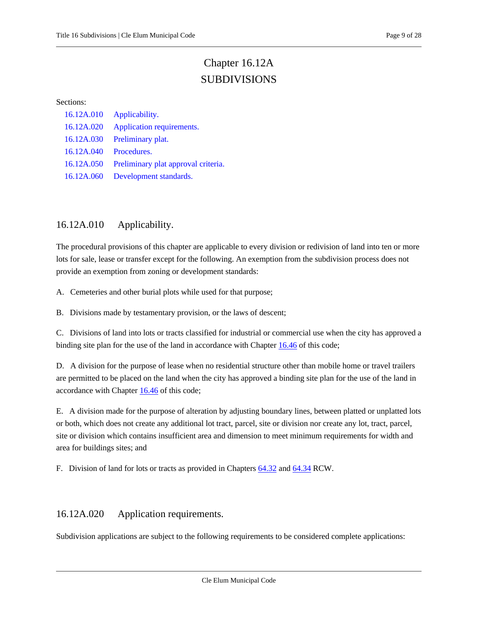# Chapter 16.12A SUBDIVISIONS

#### <span id="page-8-0"></span>Sections:

| 16.12A.010 | Applicability.                      |
|------------|-------------------------------------|
| 16.12A.020 | Application requirements.           |
| 16.12A.030 | Preliminary plat.                   |
| 16.12A.040 | Procedures.                         |
| 16.12A.050 | Preliminary plat approval criteria. |
| 16.12A.060 | Development standards.              |

## <span id="page-8-1"></span>16.12A.010 Applicability.

The procedural provisions of this chapter are applicable to every division or redivision of land into ten or more lots for sale, lease or transfer except for the following. An exemption from the subdivision process does not provide an exemption from zoning or development standards:

A. Cemeteries and other burial plots while used for that purpose;

B. Divisions made by testamentary provision, or the laws of descent;

C. Divisions of land into lots or tracts classified for industrial or commercial use when the city has approved a binding site plan for the use of the land in accordance with Chapter [16.46](#page-25-0) of this code;

D. A division for the purpose of lease when no residential structure other than mobile home or travel trailers are permitted to be placed on the land when the city has approved a binding site plan for the use of the land in accordance with Chapter [16.46](#page-25-0) of this code;

E. A division made for the purpose of alteration by adjusting boundary lines, between platted or unplatted lots or both, which does not create any additional lot tract, parcel, site or division nor create any lot, tract, parcel, site or division which contains insufficient area and dimension to meet minimum requirements for width and area for buildings sites; and

<span id="page-8-2"></span>F. Division of land for lots or tracts as provided in Chapter[s 64.32](https://cleelum.municipal.codes/WA/RCW/64.32) an[d 64.34](https://cleelum.municipal.codes/WA/RCW/64.34) RCW.

## 16.12A.020 Application requirements.

Subdivision applications are subject to the following requirements to be considered complete applications: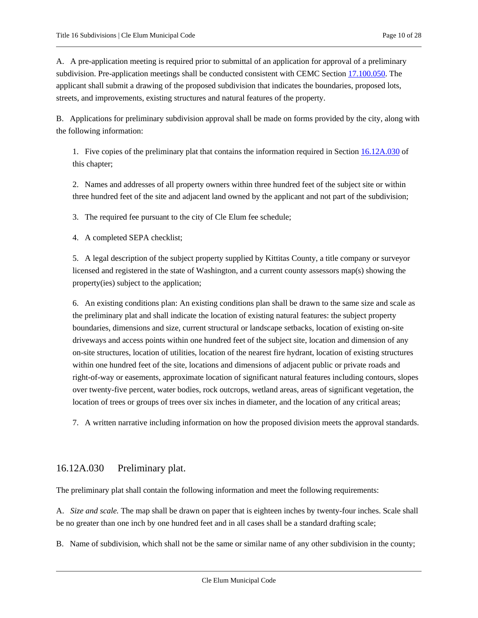A. A pre-application meeting is required prior to submittal of an application for approval of a preliminary subdivision. Pre-application meetings shall be conducted consistent with CEMC Section [17.100.050.](https://cleelum.municipal.codes/CEMC/17.100.050) The applicant shall submit a drawing of the proposed subdivision that indicates the boundaries, proposed lots, streets, and improvements, existing structures and natural features of the property.

B. Applications for preliminary subdivision approval shall be made on forms provided by the city, along with the following information:

1. Five copies of the preliminary plat that contains the information required in Section [16.12A.030](#page-9-0) of this chapter;

2. Names and addresses of all property owners within three hundred feet of the subject site or within three hundred feet of the site and adjacent land owned by the applicant and not part of the subdivision;

3. The required fee pursuant to the city of Cle Elum fee schedule;

4. A completed SEPA checklist;

5. A legal description of the subject property supplied by Kittitas County, a title company or surveyor licensed and registered in the state of Washington, and a current county assessors map(s) showing the property(ies) subject to the application;

<span id="page-9-1"></span>6. An existing conditions plan: An existing conditions plan shall be drawn to the same size and scale as the preliminary plat and shall indicate the location of existing natural features: the subject property boundaries, dimensions and size, current structural or landscape setbacks, location of existing on-site driveways and access points within one hundred feet of the subject site, location and dimension of any on-site structures, location of utilities, location of the nearest fire hydrant, location of existing structures within one hundred feet of the site, locations and dimensions of adjacent public or private roads and right-of-way or easements, approximate location of significant natural features including contours, slopes over twenty-five percent, water bodies, rock outcrops, wetland areas, areas of significant vegetation, the location of trees or groups of trees over six inches in diameter, and the location of any critical areas;

<span id="page-9-0"></span>7. A written narrative including information on how the proposed division meets the approval standards.

## 16.12A.030 Preliminary plat.

The preliminary plat shall contain the following information and meet the following requirements:

A. *Size and scale.* The map shall be drawn on paper that is eighteen inches by twenty-four inches. Scale shall be no greater than one inch by one hundred feet and in all cases shall be a standard drafting scale;

B. Name of subdivision, which shall not be the same or similar name of any other subdivision in the county;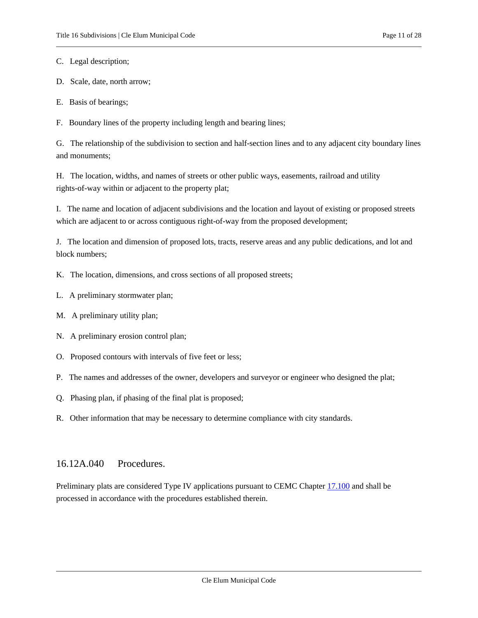C. Legal description;

D. Scale, date, north arrow;

E. Basis of bearings;

F. Boundary lines of the property including length and bearing lines;

G. The relationship of the subdivision to section and half-section lines and to any adjacent city boundary lines and monuments;

H. The location, widths, and names of streets or other public ways, easements, railroad and utility rights-of-way within or adjacent to the property plat;

I. The name and location of adjacent subdivisions and the location and layout of existing or proposed streets which are adjacent to or across contiguous right-of-way from the proposed development;

J. The location and dimension of proposed lots, tracts, reserve areas and any public dedications, and lot and block numbers;

K. The location, dimensions, and cross sections of all proposed streets;

- L. A preliminary stormwater plan;
- M. A preliminary utility plan;
- N. A preliminary erosion control plan;
- O. Proposed contours with intervals of five feet or less;
- P. The names and addresses of the owner, developers and surveyor or engineer who designed the plat;
- Q. Phasing plan, if phasing of the final plat is proposed;
- <span id="page-10-0"></span>R. Other information that may be necessary to determine compliance with city standards.

## 16.12A.040 Procedures.

Preliminary plats are considered Type IV applications pursuant to CEMC Chapter [17.100](https://cleelum.municipal.codes/CEMC/17.100) and shall be processed in accordance with the procedures established therein.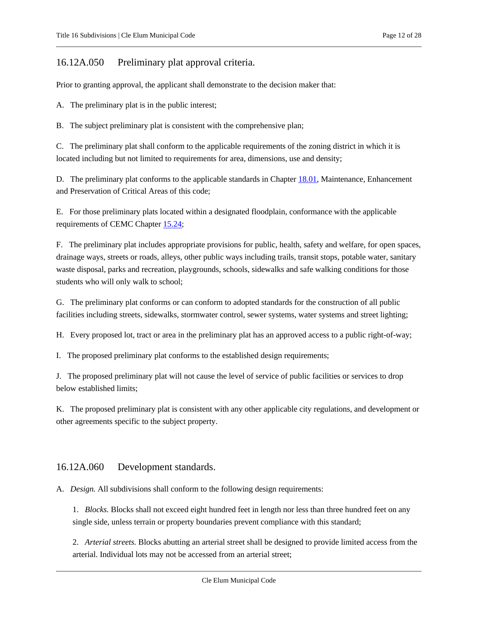## <span id="page-11-0"></span>16.12A.050 Preliminary plat approval criteria.

Prior to granting approval, the applicant shall demonstrate to the decision maker that:

A. The preliminary plat is in the public interest;

B. The subject preliminary plat is consistent with the comprehensive plan;

C. The preliminary plat shall conform to the applicable requirements of the zoning district in which it is located including but not limited to requirements for area, dimensions, use and density;

D. The preliminary plat conforms to the applicable standards in Chapter [18.01,](https://cleelum.municipal.codes/CEMC/18.01) Maintenance, Enhancement and Preservation of Critical Areas of this code;

E. For those preliminary plats located within a designated floodplain, conformance with the applicable requirements of CEMC Chapter [15.24;](https://cleelum.municipal.codes/CEMC/15.24)

F. The preliminary plat includes appropriate provisions for public, health, safety and welfare, for open spaces, drainage ways, streets or roads, alleys, other public ways including trails, transit stops, potable water, sanitary waste disposal, parks and recreation, playgrounds, schools, sidewalks and safe walking conditions for those students who will only walk to school;

G. The preliminary plat conforms or can conform to adopted standards for the construction of all public facilities including streets, sidewalks, stormwater control, sewer systems, water systems and street lighting;

H. Every proposed lot, tract or area in the preliminary plat has an approved access to a public right-of-way;

I. The proposed preliminary plat conforms to the established design requirements;

J. The proposed preliminary plat will not cause the level of service of public facilities or services to drop below established limits;

K. The proposed preliminary plat is consistent with any other applicable city regulations, and development or other agreements specific to the subject property.

## <span id="page-11-1"></span>16.12A.060 Development standards.

A. *Design.* All subdivisions shall conform to the following design requirements:

1. *Blocks.* Blocks shall not exceed eight hundred feet in length nor less than three hundred feet on any single side, unless terrain or property boundaries prevent compliance with this standard;

2. *Arterial streets.* Blocks abutting an arterial street shall be designed to provide limited access from the arterial. Individual lots may not be accessed from an arterial street;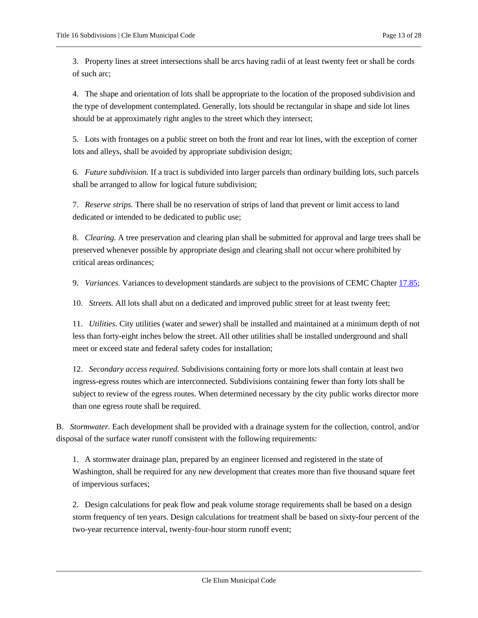3. Property lines at street intersections shall be arcs having radii of at least twenty feet or shall be cords of such arc;

4. The shape and orientation of lots shall be appropriate to the location of the proposed subdivision and the type of development contemplated. Generally, lots should be rectangular in shape and side lot lines should be at approximately right angles to the street which they intersect;

5. Lots with frontages on a public street on both the front and rear lot lines, with the exception of corner lots and alleys, shall be avoided by appropriate subdivision design;

6. *Future subdivision.* If a tract is subdivided into larger parcels than ordinary building lots, such parcels shall be arranged to allow for logical future subdivision;

7. *Reserve strips.* There shall be no reservation of strips of land that prevent or limit access to land dedicated or intended to be dedicated to public use;

8. *Clearing.* A tree preservation and clearing plan shall be submitted for approval and large trees shall be preserved whenever possible by appropriate design and clearing shall not occur where prohibited by critical areas ordinances;

9. *Variances.* Variances to development standards are subject to the provisions of CEMC Chapter [17.85;](https://cleelum.municipal.codes/CEMC/17.85)

10. *Streets.* All lots shall abut on a dedicated and improved public street for at least twenty feet;

11. *Utilities.* City utilities (water and sewer) shall be installed and maintained at a minimum depth of not less than forty-eight inches below the street. All other utilities shall be installed underground and shall meet or exceed state and federal safety codes for installation;

12. *Secondary access required.* Subdivisions containing forty or more lots shall contain at least two ingress-egress routes which are interconnected. Subdivisions containing fewer than forty lots shall be subject to review of the egress routes. When determined necessary by the city public works director more than one egress route shall be required.

B. *Stormwater.* Each development shall be provided with a drainage system for the collection, control, and/or disposal of the surface water runoff consistent with the following requirements:

1. A stormwater drainage plan, prepared by an engineer licensed and registered in the state of Washington, shall be required for any new development that creates more than five thousand square feet of impervious surfaces;

2. Design calculations for peak flow and peak volume storage requirements shall be based on a design storm frequency of ten years. Design calculations for treatment shall be based on sixty-four percent of the two-year recurrence interval, twenty-four-hour storm runoff event;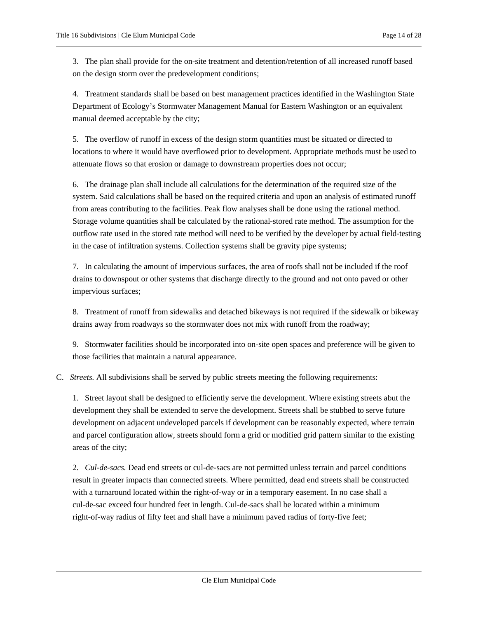3. The plan shall provide for the on-site treatment and detention/retention of all increased runoff based on the design storm over the predevelopment conditions;

4. Treatment standards shall be based on best management practices identified in the Washington State Department of Ecology's Stormwater Management Manual for Eastern Washington or an equivalent manual deemed acceptable by the city;

5. The overflow of runoff in excess of the design storm quantities must be situated or directed to locations to where it would have overflowed prior to development. Appropriate methods must be used to attenuate flows so that erosion or damage to downstream properties does not occur;

6. The drainage plan shall include all calculations for the determination of the required size of the system. Said calculations shall be based on the required criteria and upon an analysis of estimated runoff from areas contributing to the facilities. Peak flow analyses shall be done using the rational method. Storage volume quantities shall be calculated by the rational-stored rate method. The assumption for the outflow rate used in the stored rate method will need to be verified by the developer by actual field-testing in the case of infiltration systems. Collection systems shall be gravity pipe systems;

7. In calculating the amount of impervious surfaces, the area of roofs shall not be included if the roof drains to downspout or other systems that discharge directly to the ground and not onto paved or other impervious surfaces;

8. Treatment of runoff from sidewalks and detached bikeways is not required if the sidewalk or bikeway drains away from roadways so the stormwater does not mix with runoff from the roadway;

9. Stormwater facilities should be incorporated into on-site open spaces and preference will be given to those facilities that maintain a natural appearance.

C. *Streets.* All subdivisions shall be served by public streets meeting the following requirements:

1. Street layout shall be designed to efficiently serve the development. Where existing streets abut the development they shall be extended to serve the development. Streets shall be stubbed to serve future development on adjacent undeveloped parcels if development can be reasonably expected, where terrain and parcel configuration allow, streets should form a grid or modified grid pattern similar to the existing areas of the city;

2. *Cul-de-sacs.* Dead end streets or cul-de-sacs are not permitted unless terrain and parcel conditions result in greater impacts than connected streets. Where permitted, dead end streets shall be constructed with a turnaround located within the right-of-way or in a temporary easement. In no case shall a cul-de-sac exceed four hundred feet in length. Cul-de-sacs shall be located within a minimum right-of-way radius of fifty feet and shall have a minimum paved radius of forty-five feet;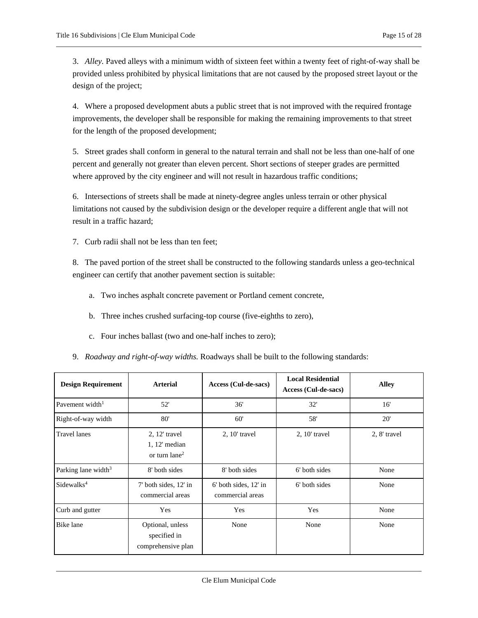3. *Alley.* Paved alleys with a minimum width of sixteen feet within a twenty feet of right-of-way shall be provided unless prohibited by physical limitations that are not caused by the proposed street layout or the design of the project;

4. Where a proposed development abuts a public street that is not improved with the required frontage improvements, the developer shall be responsible for making the remaining improvements to that street for the length of the proposed development;

5. Street grades shall conform in general to the natural terrain and shall not be less than one-half of one percent and generally not greater than eleven percent. Short sections of steeper grades are permitted where approved by the city engineer and will not result in hazardous traffic conditions;

6. Intersections of streets shall be made at ninety-degree angles unless terrain or other physical limitations not caused by the subdivision design or the developer require a different angle that will not result in a traffic hazard;

7. Curb radii shall not be less than ten feet;

8. The paved portion of the street shall be constructed to the following standards unless a geo-technical engineer can certify that another pavement section is suitable:

- a. Two inches asphalt concrete pavement or Portland cement concrete,
- b. Three inches crushed surfacing-top course (five-eighths to zero),
- c. Four inches ballast (two and one-half inches to zero);

|  | 9. Roadway and right-of-way widths. Roadways shall be built to the following standards: |
|--|-----------------------------------------------------------------------------------------|

| <b>Design Requirement</b>       | <b>Arterial</b>                                                     | Access (Cul-de-sacs)                          | <b>Local Residential</b><br>Access (Cul-de-sacs) | <b>Alley</b> |
|---------------------------------|---------------------------------------------------------------------|-----------------------------------------------|--------------------------------------------------|--------------|
| Pavement width <sup>1</sup>     | 52'                                                                 | 36'                                           | 32'                                              | 16'          |
| Right-of-way width              | 80'                                                                 | 60'                                           | 58'                                              | 20'          |
| <b>Travel lanes</b>             | $2, 12$ ' travel<br>$1, 12'$ median<br>or turn $l$ ane <sup>2</sup> | $2, 10$ ' travel                              | $2, 10$ ' travel                                 | 2, 8' travel |
| Parking lane width <sup>3</sup> | 8' both sides                                                       | 8' both sides                                 | 6' both sides                                    | None         |
| Sidewalks <sup>4</sup>          | 7' both sides, 12' in<br>commercial areas                           | $6'$ both sides, $12'$ in<br>commercial areas | 6' both sides                                    | None         |
| Curb and gutter                 | Yes                                                                 | Yes                                           | Yes                                              | None         |
| Bike lane                       | Optional, unless<br>specified in<br>comprehensive plan              | None                                          | None                                             | None         |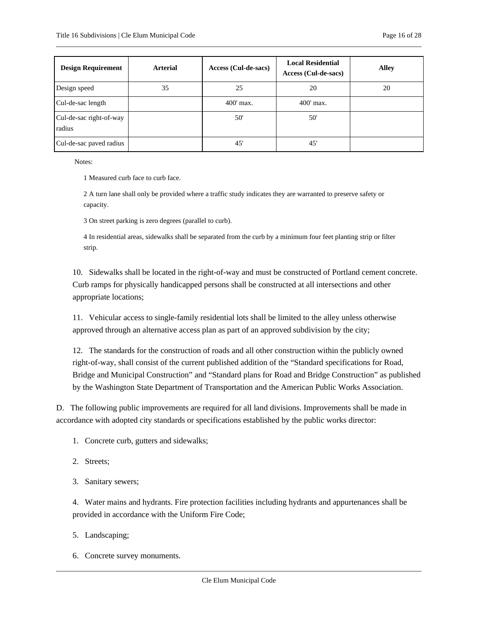| <b>Design Requirement</b>         | <b>Arterial</b> | Access (Cul-de-sacs) | <b>Local Residential</b><br>Access (Cul-de-sacs) | <b>Alley</b> |
|-----------------------------------|-----------------|----------------------|--------------------------------------------------|--------------|
| Design speed                      | 35              | 25                   | 20                                               | 20           |
| Cul-de-sac length                 |                 | $400'$ max.          | $400'$ max.                                      |              |
| Cul-de-sac right-of-way<br>radius |                 | 50'                  | 50'                                              |              |
| Cul-de-sac paved radius           |                 | 45'                  | 45'                                              |              |

Notes:

1 Measured curb face to curb face.

2 A turn lane shall only be provided where a traffic study indicates they are warranted to preserve safety or capacity.

3 On street parking is zero degrees (parallel to curb).

4 In residential areas, sidewalks shall be separated from the curb by a minimum four feet planting strip or filter strip.

10. Sidewalks shall be located in the right-of-way and must be constructed of Portland cement concrete. Curb ramps for physically handicapped persons shall be constructed at all intersections and other appropriate locations;

11. Vehicular access to single-family residential lots shall be limited to the alley unless otherwise approved through an alternative access plan as part of an approved subdivision by the city;

12. The standards for the construction of roads and all other construction within the publicly owned right-of-way, shall consist of the current published addition of the "Standard specifications for Road, Bridge and Municipal Construction" and "Standard plans for Road and Bridge Construction" as published by the Washington State Department of Transportation and the American Public Works Association.

D. The following public improvements are required for all land divisions. Improvements shall be made in accordance with adopted city standards or specifications established by the public works director:

- 1. Concrete curb, gutters and sidewalks;
- 2. Streets;
- 3. Sanitary sewers;

4. Water mains and hydrants. Fire protection facilities including hydrants and appurtenances shall be provided in accordance with the Uniform Fire Code;

- 5. Landscaping;
- 6. Concrete survey monuments.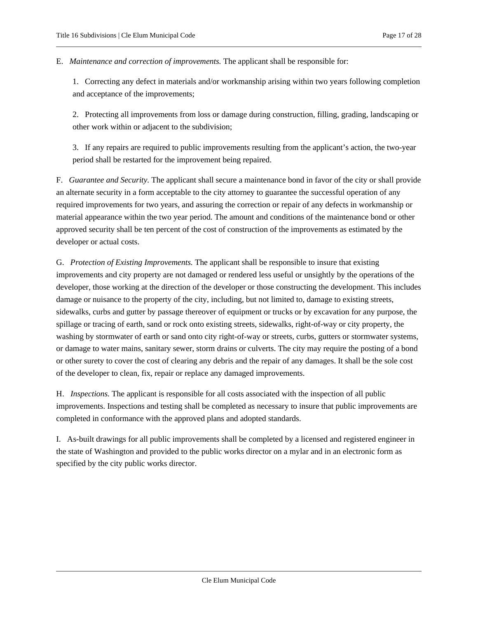E. *Maintenance and correction of improvements.* The applicant shall be responsible for:

1. Correcting any defect in materials and/or workmanship arising within two years following completion and acceptance of the improvements;

2. Protecting all improvements from loss or damage during construction, filling, grading, landscaping or other work within or adjacent to the subdivision;

3. If any repairs are required to public improvements resulting from the applicant's action, the two-year period shall be restarted for the improvement being repaired.

F. *Guarantee and Security.* The applicant shall secure a maintenance bond in favor of the city or shall provide an alternate security in a form acceptable to the city attorney to guarantee the successful operation of any required improvements for two years, and assuring the correction or repair of any defects in workmanship or material appearance within the two year period. The amount and conditions of the maintenance bond or other approved security shall be ten percent of the cost of construction of the improvements as estimated by the developer or actual costs.

G. *Protection of Existing Improvements.* The applicant shall be responsible to insure that existing improvements and city property are not damaged or rendered less useful or unsightly by the operations of the developer, those working at the direction of the developer or those constructing the development. This includes damage or nuisance to the property of the city, including, but not limited to, damage to existing streets, sidewalks, curbs and gutter by passage thereover of equipment or trucks or by excavation for any purpose, the spillage or tracing of earth, sand or rock onto existing streets, sidewalks, right-of-way or city property, the washing by stormwater of earth or sand onto city right-of-way or streets, curbs, gutters or stormwater systems, or damage to water mains, sanitary sewer, storm drains or culverts. The city may require the posting of a bond or other surety to cover the cost of clearing any debris and the repair of any damages. It shall be the sole cost of the developer to clean, fix, repair or replace any damaged improvements.

H. *Inspections.* The applicant is responsible for all costs associated with the inspection of all public improvements. Inspections and testing shall be completed as necessary to insure that public improvements are completed in conformance with the approved plans and adopted standards.

I. As-built drawings for all public improvements shall be completed by a licensed and registered engineer in the state of Washington and provided to the public works director on a mylar and in an electronic form as specified by the city public works director.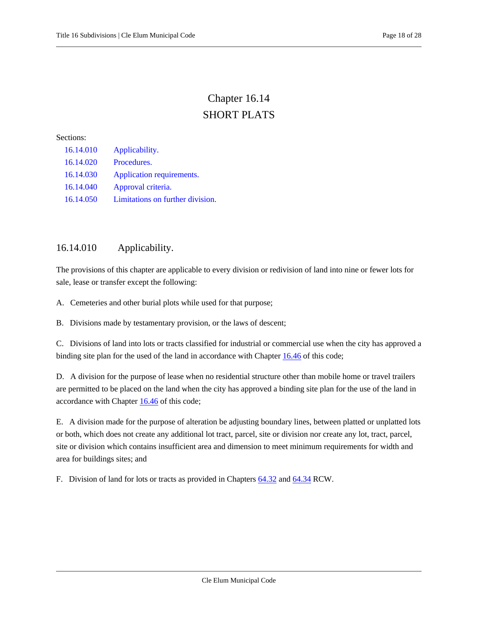# Chapter 16.14 SHORT PLATS

#### <span id="page-17-0"></span>Sections:

| 16.14.010 | Applicability.                   |
|-----------|----------------------------------|
| 16.14.020 | Procedures.                      |
| 16.14.030 | Application requirements.        |
| 16.14.040 | Approval criteria.               |
| 16.14.050 | Limitations on further division. |

## <span id="page-17-1"></span>16.14.010 Applicability.

The provisions of this chapter are applicable to every division or redivision of land into nine or fewer lots for sale, lease or transfer except the following:

A. Cemeteries and other burial plots while used for that purpose;

B. Divisions made by testamentary provision, or the laws of descent;

C. Divisions of land into lots or tracts classified for industrial or commercial use when the city has approved a binding site plan for the used of the land in accordance with Chapter [16.46](#page-25-0) of this code;

D. A division for the purpose of lease when no residential structure other than mobile home or travel trailers are permitted to be placed on the land when the city has approved a binding site plan for the use of the land in accordance with Chapter [16.46](#page-25-0) of this code;

E. A division made for the purpose of alteration be adjusting boundary lines, between platted or unplatted lots or both, which does not create any additional lot tract, parcel, site or division nor create any lot, tract, parcel, site or division which contains insufficient area and dimension to meet minimum requirements for width and area for buildings sites; and

F. Division of land for lots or tracts as provided in Chapter[s 64.32](https://cleelum.municipal.codes/WA/RCW/64.32) an[d 64.34](https://cleelum.municipal.codes/WA/RCW/64.34) RCW.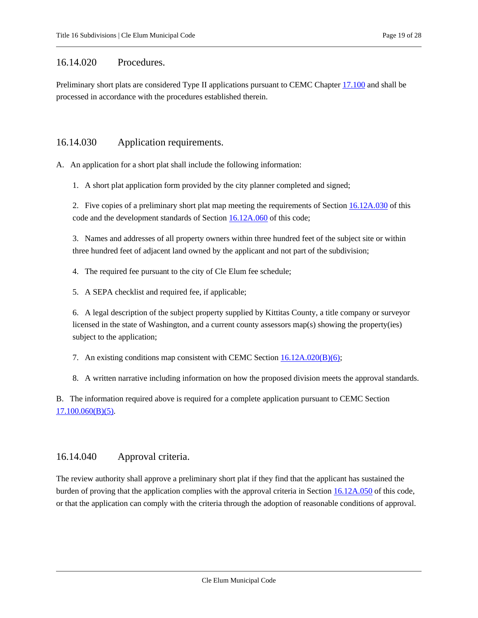## <span id="page-18-0"></span>16.14.020 Procedures.

Preliminary short plats are considered Type II applications pursuant to CEMC Chapter [17.100](https://cleelum.municipal.codes/CEMC/17.100) and shall be processed in accordance with the procedures established therein.

## <span id="page-18-1"></span>16.14.030 Application requirements.

A. An application for a short plat shall include the following information:

1. A short plat application form provided by the city planner completed and signed;

2. Five copies of a preliminary short plat map meeting the requirements of Section [16.12A.030](#page-9-0) of this code and the development standards of Section [16.12A.060](#page-11-1) of this code;

3. Names and addresses of all property owners within three hundred feet of the subject site or within three hundred feet of adjacent land owned by the applicant and not part of the subdivision;

4. The required fee pursuant to the city of Cle Elum fee schedule;

5. A SEPA checklist and required fee, if applicable;

6. A legal description of the subject property supplied by Kittitas County, a title company or surveyor licensed in the state of Washington, and a current county assessors map(s) showing the property(ies) subject to the application;

7. An existing conditions map consistent with CEMC Sectio[n 16.12A.020\(B\)\(6\);](#page-9-1)

8. A written narrative including information on how the proposed division meets the approval standards.

B. The information required above is required for a complete application pursuant to CEMC Section [17.100.060\(B\)\(5\).](https://cleelum.municipal.codes/CEMC/17.100.060(B)(5))

## <span id="page-18-2"></span>16.14.040 Approval criteria.

The review authority shall approve a preliminary short plat if they find that the applicant has sustained the burden of proving that the application complies with the approval criteria in Section [16.12A.050](#page-11-0) of this code, or that the application can comply with the criteria through the adoption of reasonable conditions of approval.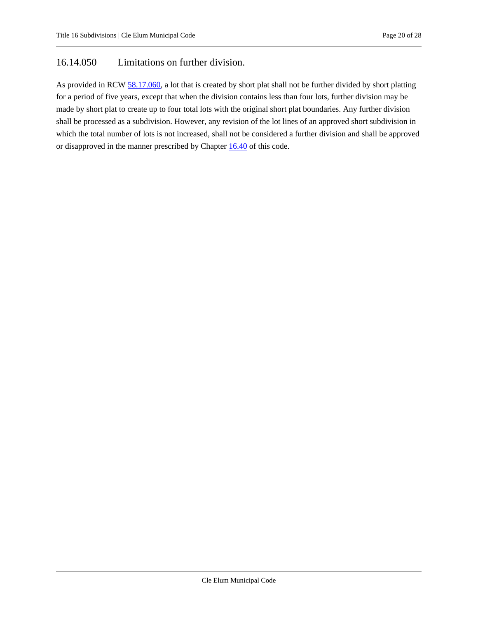## <span id="page-19-0"></span>16.14.050 Limitations on further division.

As provided in RC[W 58.17.060,](https://cleelum.municipal.codes/WA/RCW/58.17.060) a lot that is created by short plat shall not be further divided by short platting for a period of five years, except that when the division contains less than four lots, further division may be made by short plat to create up to four total lots with the original short plat boundaries. Any further division shall be processed as a subdivision. However, any revision of the lot lines of an approved short subdivision in which the total number of lots is not increased, shall not be considered a further division and shall be approved or disapproved in the manner prescribed by Chapter [16.40](#page-23-0) of this code.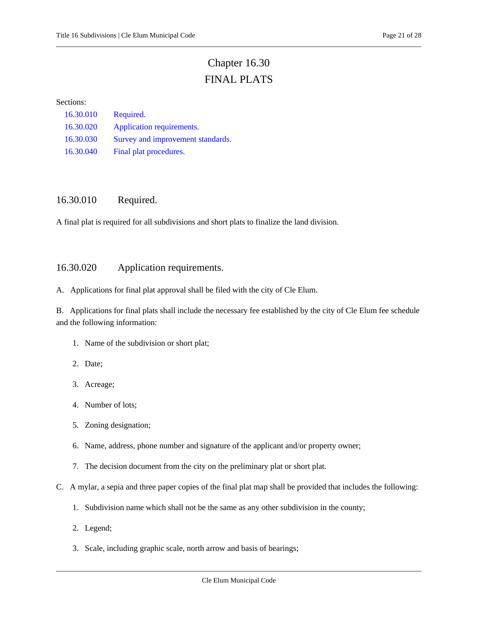# Chapter 16.30 FINAL PLATS

#### <span id="page-20-0"></span>Sections:

| 16.30.010 | Required.                         |
|-----------|-----------------------------------|
| 16.30.020 | Application requirements.         |
| 16.30.030 | Survey and improvement standards. |
| 16.30.040 | Final plat procedures.            |

## <span id="page-20-1"></span>16.30.010 Required.

<span id="page-20-2"></span>A final plat is required for all subdivisions and short plats to finalize the land division.

## 16.30.020 Application requirements.

A. Applications for final plat approval shall be filed with the city of Cle Elum.

B. Applications for final plats shall include the necessary fee established by the city of Cle Elum fee schedule and the following information:

- 1. Name of the subdivision or short plat;
- 2. Date;
- 3. Acreage;
- 4. Number of lots;
- 5. Zoning designation;
- 6. Name, address, phone number and signature of the applicant and/or property owner;
- 7. The decision document from the city on the preliminary plat or short plat.
- C. A mylar, a sepia and three paper copies of the final plat map shall be provided that includes the following:
	- 1. Subdivision name which shall not be the same as any other subdivision in the county;
	- 2. Legend;
	- 3. Scale, including graphic scale, north arrow and basis of bearings;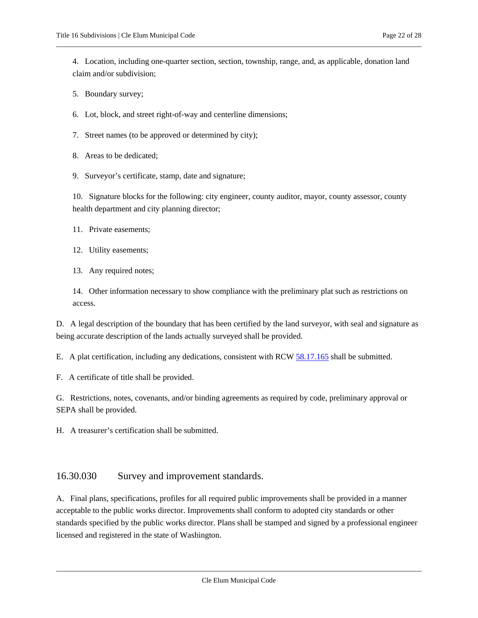- 5. Boundary survey;
- 6. Lot, block, and street right-of-way and centerline dimensions;
- 7. Street names (to be approved or determined by city);
- 8. Areas to be dedicated;
- 9. Surveyor's certificate, stamp, date and signature;

10. Signature blocks for the following: city engineer, county auditor, mayor, county assessor, county health department and city planning director;

- 11. Private easements;
- 12. Utility easements;
- 13. Any required notes;

14. Other information necessary to show compliance with the preliminary plat such as restrictions on access.

D. A legal description of the boundary that has been certified by the land surveyor, with seal and signature as being accurate description of the lands actually surveyed shall be provided.

E. A plat certification, including any dedications, consistent with RCW [58.17.165](https://cleelum.municipal.codes/WA/RCW/58.17.165) shall be submitted.

F. A certificate of title shall be provided.

G. Restrictions, notes, covenants, and/or binding agreements as required by code, preliminary approval or SEPA shall be provided.

<span id="page-21-0"></span>H. A treasurer's certification shall be submitted.

## 16.30.030 Survey and improvement standards.

A. Final plans, specifications, profiles for all required public improvements shall be provided in a manner acceptable to the public works director. Improvements shall conform to adopted city standards or other standards specified by the public works director. Plans shall be stamped and signed by a professional engineer licensed and registered in the state of Washington.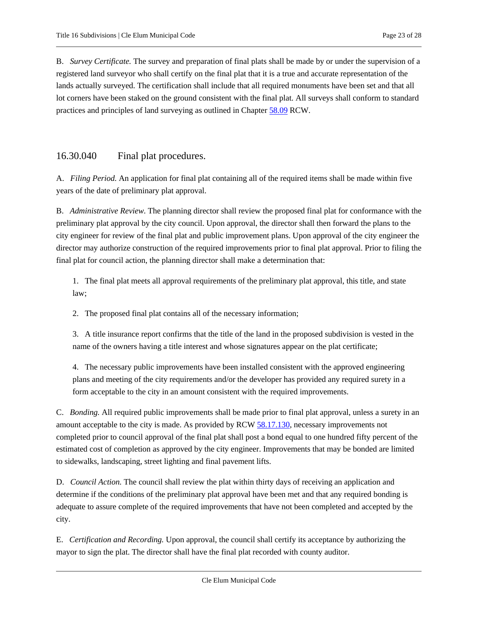B. *Survey Certificate.* The survey and preparation of final plats shall be made by or under the supervision of a registered land surveyor who shall certify on the final plat that it is a true and accurate representation of the lands actually surveyed. The certification shall include that all required monuments have been set and that all lot corners have been staked on the ground consistent with the final plat. All surveys shall conform to standard practices and principles of land surveying as outlined in Chapter [58.09](https://cleelum.municipal.codes/WA/RCW/58.09) RCW.

## <span id="page-22-0"></span>16.30.040 Final plat procedures.

A. *Filing Period.* An application for final plat containing all of the required items shall be made within five years of the date of preliminary plat approval.

B. *Administrative Review.* The planning director shall review the proposed final plat for conformance with the preliminary plat approval by the city council. Upon approval, the director shall then forward the plans to the city engineer for review of the final plat and public improvement plans. Upon approval of the city engineer the director may authorize construction of the required improvements prior to final plat approval. Prior to filing the final plat for council action, the planning director shall make a determination that:

1. The final plat meets all approval requirements of the preliminary plat approval, this title, and state law;

2. The proposed final plat contains all of the necessary information;

3. A title insurance report confirms that the title of the land in the proposed subdivision is vested in the name of the owners having a title interest and whose signatures appear on the plat certificate;

4. The necessary public improvements have been installed consistent with the approved engineering plans and meeting of the city requirements and/or the developer has provided any required surety in a form acceptable to the city in an amount consistent with the required improvements.

C. *Bonding.* All required public improvements shall be made prior to final plat approval, unless a surety in an amount acceptable to the city is made. As provided by RCW [58.17.130,](https://cleelum.municipal.codes/WA/RCW/58.17.130) necessary improvements not completed prior to council approval of the final plat shall post a bond equal to one hundred fifty percent of the estimated cost of completion as approved by the city engineer. Improvements that may be bonded are limited to sidewalks, landscaping, street lighting and final pavement lifts.

D. *Council Action.* The council shall review the plat within thirty days of receiving an application and determine if the conditions of the preliminary plat approval have been met and that any required bonding is adequate to assure complete of the required improvements that have not been completed and accepted by the city.

E. *Certification and Recording.* Upon approval, the council shall certify its acceptance by authorizing the mayor to sign the plat. The director shall have the final plat recorded with county auditor.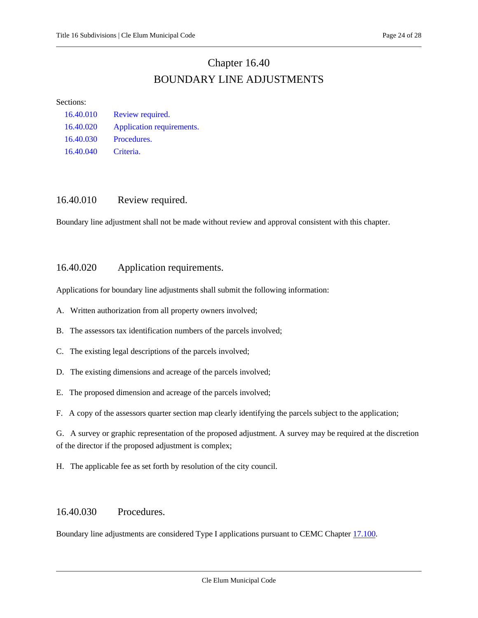## Chapter 16.40 BOUNDARY LINE ADJUSTMENTS

#### <span id="page-23-0"></span>Sections:

| 16.40.010 | Review required.          |
|-----------|---------------------------|
| 16.40.020 | Application requirements. |
| 16.40.030 | Procedures.               |
| 16.40.040 | Criteria.                 |

## <span id="page-23-1"></span>16.40.010 Review required.

<span id="page-23-2"></span>Boundary line adjustment shall not be made without review and approval consistent with this chapter.

## 16.40.020 Application requirements.

Applications for boundary line adjustments shall submit the following information:

- A. Written authorization from all property owners involved;
- B. The assessors tax identification numbers of the parcels involved;
- C. The existing legal descriptions of the parcels involved;
- D. The existing dimensions and acreage of the parcels involved;
- E. The proposed dimension and acreage of the parcels involved;

F. A copy of the assessors quarter section map clearly identifying the parcels subject to the application;

G. A survey or graphic representation of the proposed adjustment. A survey may be required at the discretion of the director if the proposed adjustment is complex;

<span id="page-23-3"></span>H. The applicable fee as set forth by resolution of the city council.

## 16.40.030 Procedures.

Boundary line adjustments are considered Type I applications pursuant to CEMC Chapter [17.100.](https://cleelum.municipal.codes/CEMC/17.100)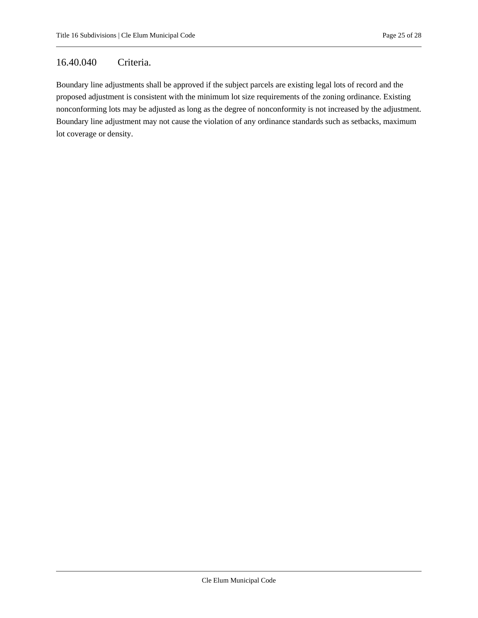## <span id="page-24-0"></span>16.40.040 Criteria.

Boundary line adjustments shall be approved if the subject parcels are existing legal lots of record and the proposed adjustment is consistent with the minimum lot size requirements of the zoning ordinance. Existing nonconforming lots may be adjusted as long as the degree of nonconformity is not increased by the adjustment. Boundary line adjustment may not cause the violation of any ordinance standards such as setbacks, maximum lot coverage or density.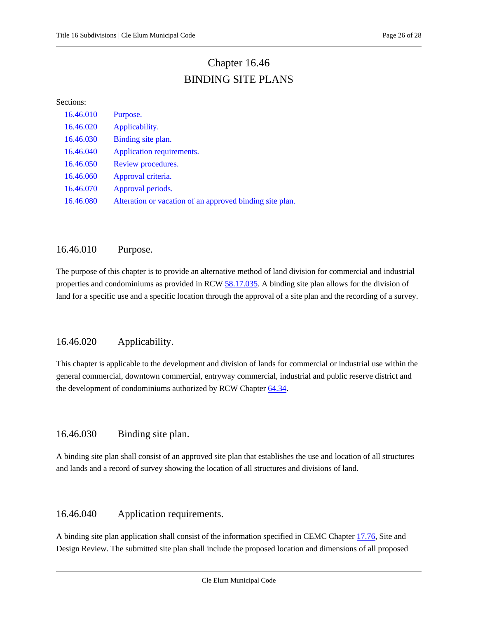# Chapter 16.46 BINDING SITE PLANS

#### <span id="page-25-0"></span>Sections:

| 16.46.010 | Purpose.                                                 |
|-----------|----------------------------------------------------------|
| 16.46.020 | Applicability.                                           |
| 16.46.030 | Binding site plan.                                       |
| 16.46.040 | Application requirements.                                |
| 16.46.050 | Review procedures.                                       |
| 16.46.060 | Approval criteria.                                       |
| 16.46.070 | Approval periods.                                        |
| 16.46.080 | Alteration or vacation of an approved binding site plan. |

## <span id="page-25-1"></span>16.46.010 Purpose.

The purpose of this chapter is to provide an alternative method of land division for commercial and industrial properties and condominiums as provided in RCW [58.17.035.](https://cleelum.municipal.codes/WA/RCW/58.17.035) A binding site plan allows for the division of land for a specific use and a specific location through the approval of a site plan and the recording of a survey.

## <span id="page-25-2"></span>16.46.020 Applicability.

This chapter is applicable to the development and division of lands for commercial or industrial use within the general commercial, downtown commercial, entryway commercial, industrial and public reserve district and the development of condominiums authorized by RCW Chapter [64.34.](https://cleelum.municipal.codes/WA/RCW/64.34)

## <span id="page-25-3"></span>16.46.030 Binding site plan.

A binding site plan shall consist of an approved site plan that establishes the use and location of all structures and lands and a record of survey showing the location of all structures and divisions of land.

## <span id="page-25-4"></span>16.46.040 Application requirements.

A binding site plan application shall consist of the information specified in CEMC Chapter [17.76,](https://cleelum.municipal.codes/CEMC/17.76) Site and Design Review. The submitted site plan shall include the proposed location and dimensions of all proposed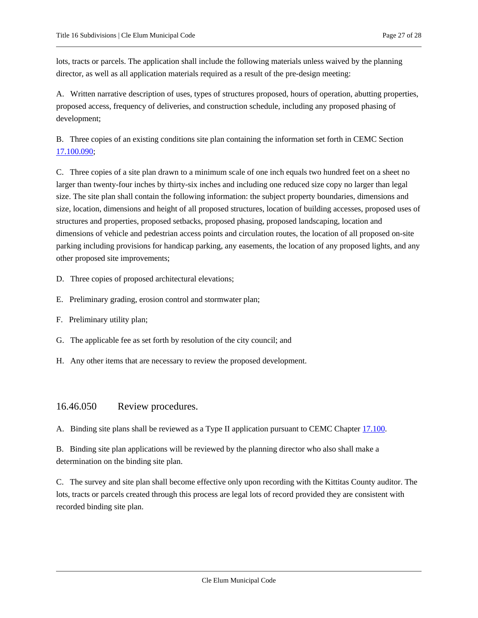lots, tracts or parcels. The application shall include the following materials unless waived by the planning director, as well as all application materials required as a result of the pre-design meeting:

A. Written narrative description of uses, types of structures proposed, hours of operation, abutting properties, proposed access, frequency of deliveries, and construction schedule, including any proposed phasing of development;

B. Three copies of an existing conditions site plan containing the information set forth in CEMC Section [17.100.090;](https://cleelum.municipal.codes/CEMC/17.100.090)

C. Three copies of a site plan drawn to a minimum scale of one inch equals two hundred feet on a sheet no larger than twenty-four inches by thirty-six inches and including one reduced size copy no larger than legal size. The site plan shall contain the following information: the subject property boundaries, dimensions and size, location, dimensions and height of all proposed structures, location of building accesses, proposed uses of structures and properties, proposed setbacks, proposed phasing, proposed landscaping, location and dimensions of vehicle and pedestrian access points and circulation routes, the location of all proposed on-site parking including provisions for handicap parking, any easements, the location of any proposed lights, and any other proposed site improvements;

- D. Three copies of proposed architectural elevations;
- E. Preliminary grading, erosion control and stormwater plan;
- F. Preliminary utility plan;
- G. The applicable fee as set forth by resolution of the city council; and
- <span id="page-26-0"></span>H. Any other items that are necessary to review the proposed development.

## 16.46.050 Review procedures.

A. Binding site plans shall be reviewed as a Type II application pursuant to CEMC Chapter [17.100.](https://cleelum.municipal.codes/CEMC/17.100)

B. Binding site plan applications will be reviewed by the planning director who also shall make a determination on the binding site plan.

C. The survey and site plan shall become effective only upon recording with the Kittitas County auditor. The lots, tracts or parcels created through this process are legal lots of record provided they are consistent with recorded binding site plan.